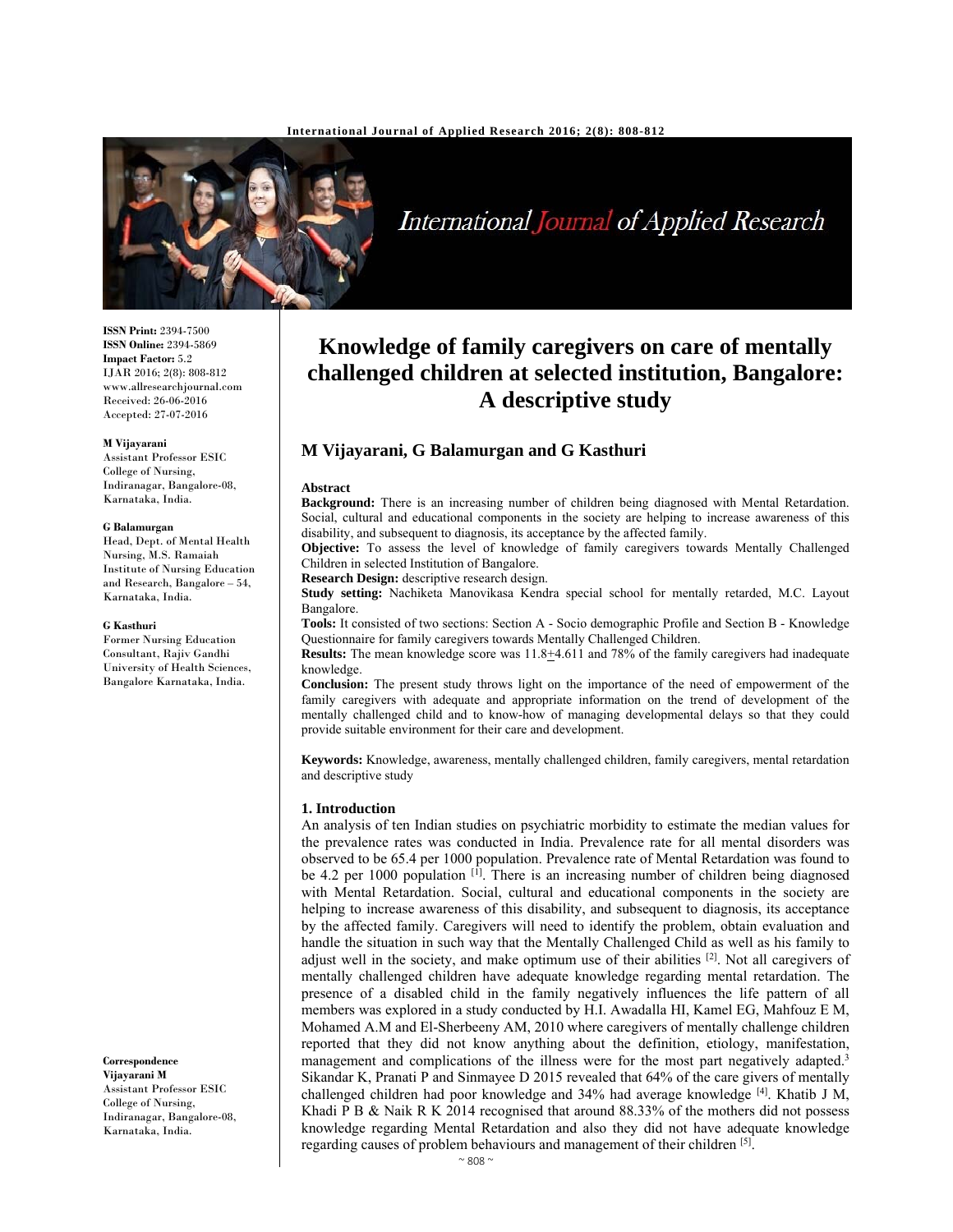

International Journal of Applied Research

# **Knowledge of family caregivers on care of mentally challenged children at selected institution, Bangalore: A descriptive study**

# **M Vijayarani, G Balamurgan and G Kasthuri**

### **Abstract**

**Background:** There is an increasing number of children being diagnosed with Mental Retardation. Social, cultural and educational components in the society are helping to increase awareness of this disability, and subsequent to diagnosis, its acceptance by the affected family.

**Objective:** To assess the level of knowledge of family caregivers towards Mentally Challenged Children in selected Institution of Bangalore.

**Research Design:** descriptive research design.

**Study setting:** Nachiketa Manovikasa Kendra special school for mentally retarded, M.C. Layout Bangalore.

**Tools:** It consisted of two sections: Section A - Socio demographic Profile and Section B - Knowledge Questionnaire for family caregivers towards Mentally Challenged Children.

**Results:** The mean knowledge score was 11.8+4.611 and 78% of the family caregivers had inadequate knowledge.

**Conclusion:** The present study throws light on the importance of the need of empowerment of the family caregivers with adequate and appropriate information on the trend of development of the mentally challenged child and to know-how of managing developmental delays so that they could provide suitable environment for their care and development.

**Keywords:** Knowledge, awareness, mentally challenged children, family caregivers, mental retardation and descriptive study

### **1. Introduction**

An analysis of ten Indian studies on psychiatric morbidity to estimate the median values for the prevalence rates was conducted in India. Prevalence rate for all mental disorders was observed to be 65.4 per 1000 population. Prevalence rate of Mental Retardation was found to be 4.2 per 1000 population  $\left[1\right]$ . There is an increasing number of children being diagnosed with Mental Retardation. Social, cultural and educational components in the society are helping to increase awareness of this disability, and subsequent to diagnosis, its acceptance by the affected family. Caregivers will need to identify the problem, obtain evaluation and handle the situation in such way that the Mentally Challenged Child as well as his family to adjust well in the society, and make optimum use of their abilities [2]. Not all caregivers of mentally challenged children have adequate knowledge regarding mental retardation. The presence of a disabled child in the family negatively influences the life pattern of all members was explored in a study conducted by H.I. Awadalla HI, Kamel EG, Mahfouz E M, Mohamed A.M and El-Sherbeeny AM, 2010 where caregivers of mentally challenge children reported that they did not know anything about the definition, etiology, manifestation, management and complications of the illness were for the most part negatively adapted.<sup>3</sup> Sikandar K, Pranati P and Sinmayee D 2015 revealed that 64% of the care givers of mentally challenged children had poor knowledge and 34% had average knowledge [4]. Khatib J M, Khadi P B & Naik R K 2014 recognised that around 88.33% of the mothers did not possess knowledge regarding Mental Retardation and also they did not have adequate knowledge regarding causes of problem behaviours and management of their children [5].

**ISSN Print:** 2394-7500 **ISSN Online:** 2394-5869 **Impact Factor:** 5.2 IJAR 2016; 2(8): 808-812 www.allresearchjournal.com Received: 26-06-2016 Accepted: 27-07-2016

#### **M Vijayarani**

Assistant Professor ESIC College of Nursing, Indiranagar, Bangalore-08, Karnataka, India.

#### **G Balamurgan**

Head, Dept. of Mental Health Nursing, M.S. Ramaiah Institute of Nursing Education and Research, Bangalore – 54, Karnataka, India.

#### **G Kasthuri**

Former Nursing Education Consultant, Rajiv Gandhi University of Health Sciences, Bangalore Karnataka, India.

**Correspondence Vijayarani M**  Assistant Professor ESIC College of Nursing, Indiranagar, Bangalore-08, Karnataka, India.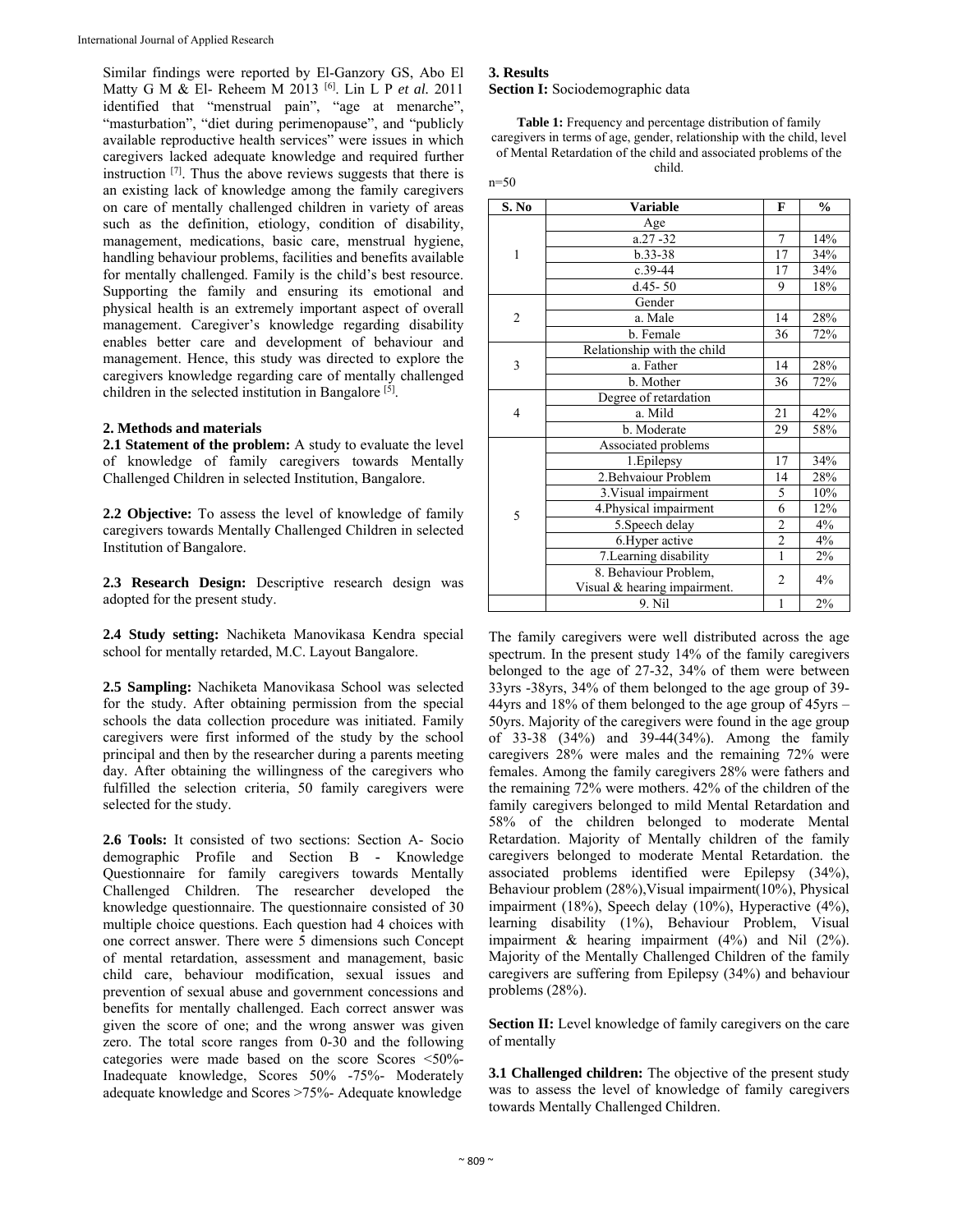Similar findings were reported by El-Ganzory GS, Abo El Matty G M & El- Reheem M 2013 [6]. Lin L P *et al.* 2011 identified that "menstrual pain", "age at menarche", "masturbation", "diet during perimenopause", and "publicly available reproductive health services" were issues in which caregivers lacked adequate knowledge and required further instruction [7]. Thus the above reviews suggests that there is an existing lack of knowledge among the family caregivers on care of mentally challenged children in variety of areas such as the definition, etiology, condition of disability, management, medications, basic care, menstrual hygiene, handling behaviour problems, facilities and benefits available for mentally challenged. Family is the child's best resource. Supporting the family and ensuring its emotional and physical health is an extremely important aspect of overall management. Caregiver's knowledge regarding disability enables better care and development of behaviour and management. Hence, this study was directed to explore the caregivers knowledge regarding care of mentally challenged children in the selected institution in Bangalore<sup>[5]</sup>.

## **2. Methods and materials**

**2.1 Statement of the problem:** A study to evaluate the level of knowledge of family caregivers towards Mentally Challenged Children in selected Institution, Bangalore.

**2.2 Objective:** To assess the level of knowledge of family caregivers towards Mentally Challenged Children in selected Institution of Bangalore.

**2.3 Research Design:** Descriptive research design was adopted for the present study.

**2.4 Study setting:** Nachiketa Manovikasa Kendra special school for mentally retarded, M.C. Layout Bangalore.

**2.5 Sampling:** Nachiketa Manovikasa School was selected for the study. After obtaining permission from the special schools the data collection procedure was initiated. Family caregivers were first informed of the study by the school principal and then by the researcher during a parents meeting day. After obtaining the willingness of the caregivers who fulfilled the selection criteria, 50 family caregivers were selected for the study.

**2.6 Tools:** It consisted of two sections: Section A- Socio demographic Profile and Section B **-** Knowledge Questionnaire for family caregivers towards Mentally Challenged Children. The researcher developed the knowledge questionnaire. The questionnaire consisted of 30 multiple choice questions. Each question had 4 choices with one correct answer. There were 5 dimensions such Concept of mental retardation, assessment and management, basic child care, behaviour modification, sexual issues and prevention of sexual abuse and government concessions and benefits for mentally challenged. Each correct answer was given the score of one; and the wrong answer was given zero. The total score ranges from 0-30 and the following categories were made based on the score Scores <50%- Inadequate knowledge, Scores 50% -75%- Moderately adequate knowledge and Scores >75%- Adequate knowledge

### **3. Results Section I:** Sociodemographic data

**Table 1:** Frequency and percentage distribution of family caregivers in terms of age, gender, relationship with the child, level of Mental Retardation of the child and associated problems of the

child. n=50

| S. No          | <b>Variable</b>              | F              | $\frac{0}{0}$ |
|----------------|------------------------------|----------------|---------------|
| 1              | Age                          |                |               |
|                | $a.27 - 32$                  | 7              | 14%           |
|                | $b.33 - 38$                  | 17             | 34%           |
|                | $c.39-44$                    | 17             | 34%           |
|                | $d.45 - 50$                  | 9              | 18%           |
| $\overline{2}$ | Gender                       |                |               |
|                | a. Male                      | 14             | 28%           |
|                | b. Female                    | 36             | 72%           |
| 3              | Relationship with the child  |                |               |
|                | a. Father                    | 14             | 28%           |
|                | b. Mother                    | 36             | 72%           |
|                | Degree of retardation        |                |               |
| 4              | a. Mild                      | 21             | 42%           |
|                | b. Moderate                  | 29             | 58%           |
|                | Associated problems          |                |               |
|                | 1. Epilepsy                  | 17             | 34%           |
| 5              | 2. Behvaiour Problem         | 14             | 28%           |
|                | 3. Visual impairment         | 5              | 10%           |
|                | 4.Physical impairment        | 6              | 12%           |
|                | 5. Speech delay              | $\overline{2}$ | $4\%$         |
|                | 6. Hyper active              | $\overline{2}$ | 4%            |
|                | 7. Learning disability       | 1              | 2%            |
|                | 8. Behaviour Problem,        |                | 4%            |
|                | Visual & hearing impairment. | 2              |               |
|                | 9. Nil                       | $\mathbf{1}$   | 2%            |

The family caregivers were well distributed across the age spectrum. In the present study 14% of the family caregivers belonged to the age of 27-32, 34% of them were between 33yrs -38yrs, 34% of them belonged to the age group of 39- 44yrs and 18% of them belonged to the age group of 45yrs – 50yrs. Majority of the caregivers were found in the age group of 33-38 (34%) and 39-44(34%). Among the family caregivers 28% were males and the remaining 72% were females. Among the family caregivers 28% were fathers and the remaining 72% were mothers. 42% of the children of the family caregivers belonged to mild Mental Retardation and 58% of the children belonged to moderate Mental Retardation. Majority of Mentally children of the family caregivers belonged to moderate Mental Retardation. the associated problems identified were Epilepsy (34%), Behaviour problem (28%),Visual impairment(10%), Physical impairment (18%), Speech delay (10%), Hyperactive (4%), learning disability (1%), Behaviour Problem, Visual impairment  $\&$  hearing impairment (4%) and Nil (2%). Majority of the Mentally Challenged Children of the family caregivers are suffering from Epilepsy (34%) and behaviour problems (28%).

Section II: Level knowledge of family caregivers on the care of mentally

**3.1 Challenged children:** The objective of the present study was to assess the level of knowledge of family caregivers towards Mentally Challenged Children.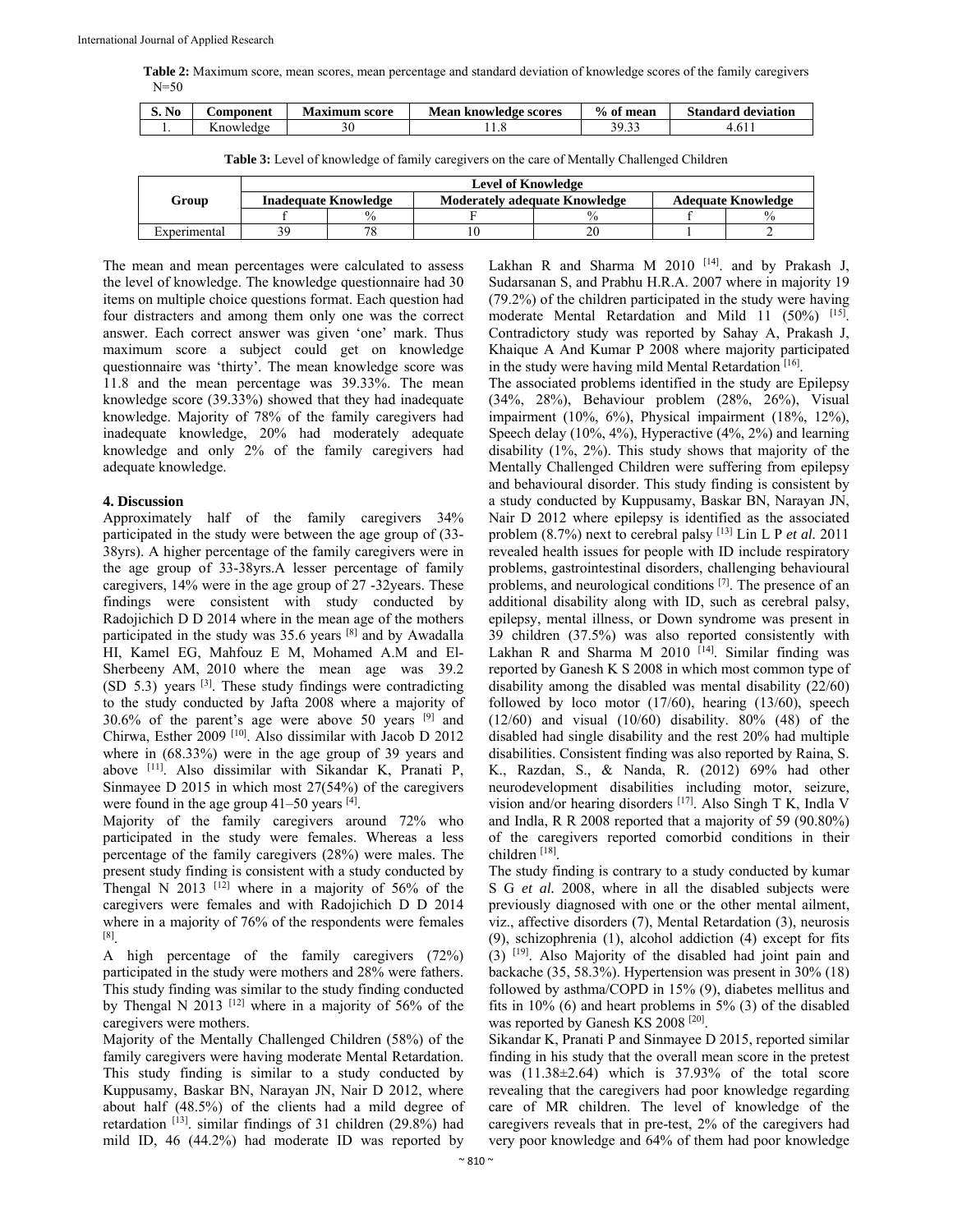**Table 2:** Maximum score, mean scores, mean percentage and standard deviation of knowledge scores of the family caregivers  $N = 50$ 

| S. No | <b>Component</b> | Maximum<br>score) | <b>Mean</b><br>knowledge scores . | $\frac{0}{0}$<br>mean<br>0t | Standard<br>deviation |
|-------|------------------|-------------------|-----------------------------------|-----------------------------|-----------------------|
| . .   | --<br>nowledge   |                   | . 0                               | 30.33<br>.                  | 1.011                 |

**Table 3:** Level of knowledge of family caregivers on the care of Mentally Challenged Children

|              | <b>Level of Knowledge</b>   |               |                                      |      |                           |               |  |
|--------------|-----------------------------|---------------|--------------------------------------|------|---------------------------|---------------|--|
| Group        | <b>Inadequate Knowledge</b> |               | <b>Moderately adequate Knowledge</b> |      | <b>Adequate Knowledge</b> |               |  |
|              |                             | $\frac{0}{0}$ |                                      | $\%$ |                           | $\frac{0}{0}$ |  |
| Experimental | 39                          |               |                                      | 20   |                           |               |  |

The mean and mean percentages were calculated to assess the level of knowledge. The knowledge questionnaire had 30 items on multiple choice questions format. Each question had four distracters and among them only one was the correct answer. Each correct answer was given 'one' mark. Thus maximum score a subject could get on knowledge questionnaire was 'thirty'. The mean knowledge score was 11.8 and the mean percentage was 39.33%. The mean knowledge score (39.33%) showed that they had inadequate knowledge. Majority of 78% of the family caregivers had inadequate knowledge, 20% had moderately adequate knowledge and only 2% of the family caregivers had adequate knowledge.

### **4. Discussion**

Approximately half of the family caregivers 34% participated in the study were between the age group of (33- 38yrs). A higher percentage of the family caregivers were in the age group of 33-38yrs.A lesser percentage of family caregivers, 14% were in the age group of 27 -32years. These findings were consistent with study conducted by Radojichich D D 2014 where in the mean age of the mothers participated in the study was  $35.6$  years  $[8]$  and by Awadalla HI, Kamel EG, Mahfouz E M, Mohamed A.M and El-Sherbeeny AM, 2010 where the mean age was 39.2 (SD 5.3) years [3]. These study findings were contradicting to the study conducted by Jafta 2008 where a majority of 30.6% of the parent's age were above 50 years [9] and Chirwa, Esther 2009 [10]. Also dissimilar with Jacob D 2012 where in (68.33%) were in the age group of 39 years and above [11]. Also dissimilar with Sikandar K, Pranati P, Sinmayee D 2015 in which most 27(54%) of the caregivers were found in the age group  $41-50$  years  $^{[4]}$ .

Majority of the family caregivers around 72% who participated in the study were females. Whereas a less percentage of the family caregivers (28%) were males. The present study finding is consistent with a study conducted by Thengal N 2013  $[12]$  where in a majority of 56% of the caregivers were females and with Radojichich D D 2014 where in a majority of 76% of the respondents were females [8].

A high percentage of the family caregivers (72%) participated in the study were mothers and 28% were fathers. This study finding was similar to the study finding conducted by Thengal N 2013<sup>[12]</sup> where in a majority of 56% of the caregivers were mothers.

Majority of the Mentally Challenged Children (58%) of the family caregivers were having moderate Mental Retardation. This study finding is similar to a study conducted by Kuppusamy, Baskar BN, Narayan JN, Nair D 2012, where about half (48.5%) of the clients had a mild degree of retardation [13]. similar findings of 31 children (29.8%) had mild ID, 46 (44.2%) had moderate ID was reported by

Lakhan R and Sharma M 2010 [14]. and by Prakash J, Sudarsanan S, and Prabhu H.R.A. 2007 where in majority 19 (79.2%) of the children participated in the study were having moderate Mental Retardation and Mild 11 (50%) <sup>[15]</sup>. Contradictory study was reported by Sahay A, Prakash J, Khaique A And Kumar P 2008 where majority participated in the study were having mild Mental Retardation [16].

The associated problems identified in the study are Epilepsy (34%, 28%), Behaviour problem (28%, 26%), Visual impairment (10%, 6%), Physical impairment (18%, 12%), Speech delay (10%, 4%), Hyperactive (4%, 2%) and learning disability (1%, 2%). This study shows that majority of the Mentally Challenged Children were suffering from epilepsy and behavioural disorder. This study finding is consistent by a study conducted by Kuppusamy, Baskar BN, Narayan JN, Nair D 2012 where epilepsy is identified as the associated problem (8.7%) next to cerebral palsy [13] Lin L P *et al.* 2011 revealed health issues for people with ID include respiratory problems, gastrointestinal disorders, challenging behavioural problems, and neurological conditions [7]. The presence of an additional disability along with ID, such as cerebral palsy, epilepsy, mental illness, or Down syndrome was present in 39 children (37.5%) was also reported consistently with Lakhan R and Sharma M 2010  $[14]$ . Similar finding was reported by Ganesh K S 2008 in which most common type of disability among the disabled was mental disability (22/60) followed by loco motor  $(17/60)$ , hearing  $(13/60)$ , speech (12/60) and visual (10/60) disability. 80% (48) of the disabled had single disability and the rest 20% had multiple disabilities. Consistent finding was also reported by Raina, S. K., Razdan, S., & Nanda, R. (2012) 69% had other neurodevelopment disabilities including motor, seizure, vision and/or hearing disorders [17]. Also Singh T K, Indla V and Indla, R R 2008 reported that a majority of 59 (90.80%) of the caregivers reported comorbid conditions in their children [18].

The study finding is contrary to a study conducted by kumar S G *et al.* 2008, where in all the disabled subjects were previously diagnosed with one or the other mental ailment, viz., affective disorders (7), Mental Retardation (3), neurosis (9), schizophrenia (1), alcohol addiction (4) except for fits  $(3)$  <sup>[19]</sup>. Also Majority of the disabled had joint pain and backache (35, 58.3%). Hypertension was present in 30% (18) followed by asthma/COPD in 15% (9), diabetes mellitus and fits in 10% (6) and heart problems in 5% (3) of the disabled was reported by Ganesh KS 2008<sup>[20]</sup>.

Sikandar K, Pranati P and Sinmayee D 2015, reported similar finding in his study that the overall mean score in the pretest was (11.38±2.64) which is 37.93% of the total score revealing that the caregivers had poor knowledge regarding care of MR children. The level of knowledge of the caregivers reveals that in pre-test, 2% of the caregivers had very poor knowledge and 64% of them had poor knowledge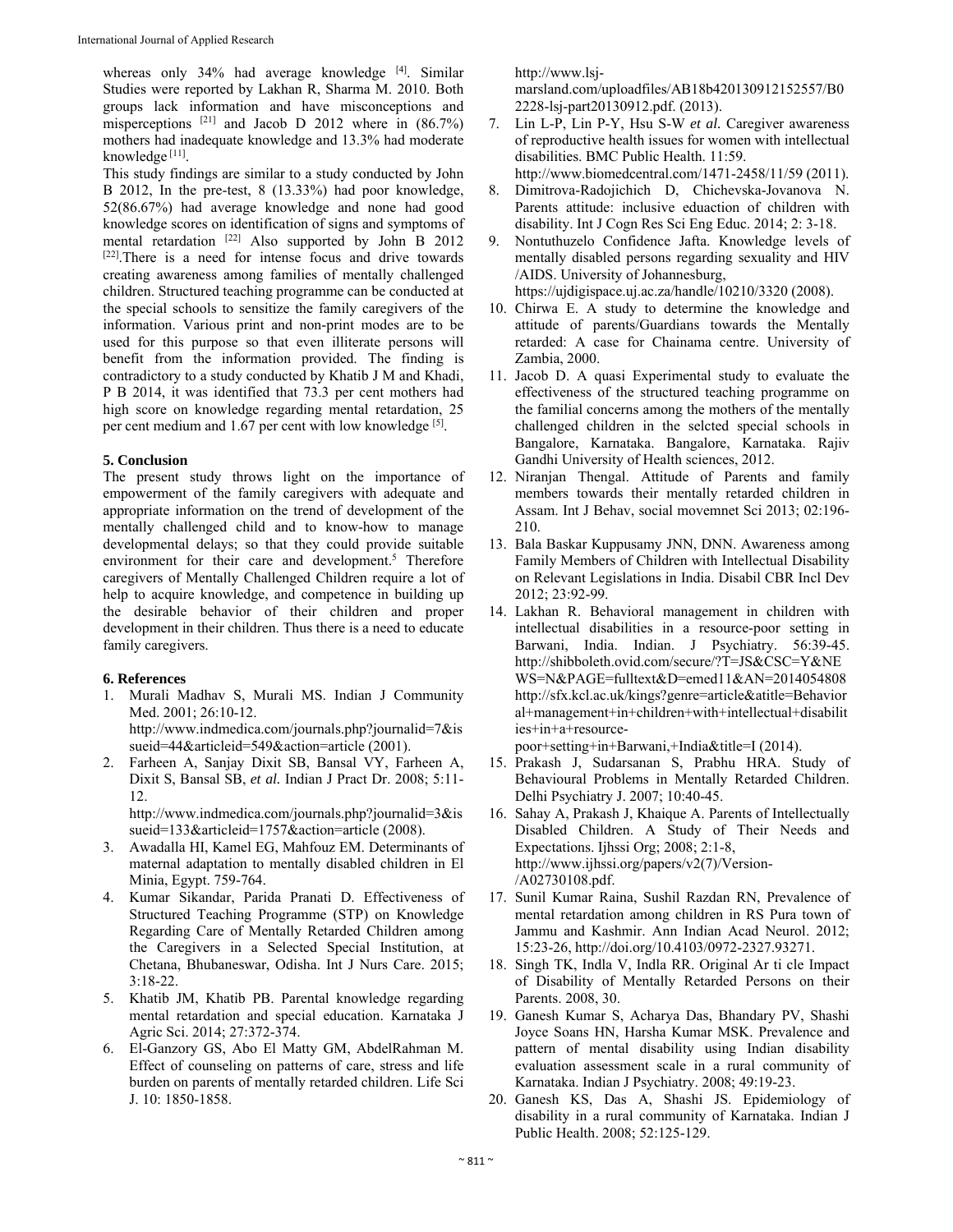whereas only  $34\%$  had average knowledge  $[4]$ . Similar Studies were reported by Lakhan R, Sharma M. 2010. Both groups lack information and have misconceptions and misperceptions  $^{[21]}$  and Jacob D 2012 where in  $(86.7%)$ mothers had inadequate knowledge and 13.3% had moderate knowledge [11].

This study findings are similar to a study conducted by John B 2012, In the pre-test, 8 (13.33%) had poor knowledge, 52(86.67%) had average knowledge and none had good knowledge scores on identification of signs and symptoms of mental retardation  $^{[22]}$  Also supported by John B 2012 [22]. There is a need for intense focus and drive towards creating awareness among families of mentally challenged children. Structured teaching programme can be conducted at the special schools to sensitize the family caregivers of the information. Various print and non-print modes are to be used for this purpose so that even illiterate persons will benefit from the information provided. The finding is contradictory to a study conducted by Khatib J M and Khadi, P B 2014, it was identified that 73.3 per cent mothers had high score on knowledge regarding mental retardation, 25 per cent medium and 1.67 per cent with low knowledge [5].

## **5. Conclusion**

The present study throws light on the importance of empowerment of the family caregivers with adequate and appropriate information on the trend of development of the mentally challenged child and to know-how to manage developmental delays; so that they could provide suitable environment for their care and development.<sup>5</sup> Therefore caregivers of Mentally Challenged Children require a lot of help to acquire knowledge, and competence in building up the desirable behavior of their children and proper development in their children. Thus there is a need to educate family caregivers.

# **6. References**

- 1. Murali Madhav S, Murali MS. Indian J Community Med. 2001; 26:10-12. http://www.indmedica.com/journals.php?journalid=7&is sueid=44&articleid=549&action=article (2001).
- 2. Farheen A, Sanjay Dixit SB, Bansal VY, Farheen A, Dixit S, Bansal SB, *et al.* Indian J Pract Dr. 2008; 5:11- 12.

http://www.indmedica.com/journals.php?journalid=3&is sueid=133&articleid=1757&action=article (2008).

- 3. Awadalla HI, Kamel EG, Mahfouz EM. Determinants of maternal adaptation to mentally disabled children in El Minia, Egypt. 759-764.
- 4. Kumar Sikandar, Parida Pranati D. Effectiveness of Structured Teaching Programme (STP) on Knowledge Regarding Care of Mentally Retarded Children among the Caregivers in a Selected Special Institution, at Chetana, Bhubaneswar, Odisha. Int J Nurs Care. 2015; 3:18-22.
- 5. Khatib JM, Khatib PB. Parental knowledge regarding mental retardation and special education. Karnataka J Agric Sci. 2014; 27:372-374.
- 6. El-Ganzory GS, Abo El Matty GM, AbdelRahman M. Effect of counseling on patterns of care, stress and life burden on parents of mentally retarded children. Life Sci J. 10: 1850-1858.

http://www.lsj-

marsland.com/uploadfiles/AB18b420130912152557/B0 2228-lsj-part20130912.pdf. (2013).

- 7. Lin L-P, Lin P-Y, Hsu S-W *et al.* Caregiver awareness of reproductive health issues for women with intellectual disabilities. BMC Public Health. 11:59. http://www.biomedcentral.com/1471-2458/11/59 (2011).
- 8. Dimitrova-Radojichich D, Chichevska-Jovanova N. Parents attitude: inclusive eduaction of children with disability. Int J Cogn Res Sci Eng Educ. 2014; 2: 3-18.
- 9. Nontuthuzelo Confidence Jafta. Knowledge levels of mentally disabled persons regarding sexuality and HIV /AIDS. University of Johannesburg,
- https://ujdigispace.uj.ac.za/handle/10210/3320 (2008). 10. Chirwa E. A study to determine the knowledge and attitude of parents/Guardians towards the Mentally retarded: A case for Chainama centre. University of
- Zambia, 2000. 11. Jacob D. A quasi Experimental study to evaluate the effectiveness of the structured teaching programme on the familial concerns among the mothers of the mentally challenged children in the selcted special schools in Bangalore, Karnataka. Bangalore, Karnataka. Rajiv Gandhi University of Health sciences, 2012.
- 12. Niranjan Thengal. Attitude of Parents and family members towards their mentally retarded children in Assam. Int J Behav, social movemnet Sci 2013; 02:196- 210.
- 13. Bala Baskar Kuppusamy JNN, DNN. Awareness among Family Members of Children with Intellectual Disability on Relevant Legislations in India. Disabil CBR Incl Dev 2012; 23:92-99.
- 14. Lakhan R. Behavioral management in children with intellectual disabilities in a resource-poor setting in Barwani, India. Indian. J Psychiatry. 56:39-45. http://shibboleth.ovid.com/secure/?T=JS&CSC=Y&NE WS=N&PAGE=fulltext&D=emed11&AN=2014054808 http://sfx.kcl.ac.uk/kings?genre=article&atitle=Behavior al+management+in+children+with+intellectual+disabilit ies+in+a+resource-

poor+setting+in+Barwani,+India&title=I (2014).

- 15. Prakash J, Sudarsanan S, Prabhu HRA. Study of Behavioural Problems in Mentally Retarded Children. Delhi Psychiatry J. 2007; 10:40-45.
- 16. Sahay A, Prakash J, Khaique A. Parents of Intellectually Disabled Children. A Study of Their Needs and Expectations. Ijhssi Org; 2008; 2:1-8, http://www.ijhssi.org/papers/v2(7)/Version- /A02730108.pdf.
- 17. Sunil Kumar Raina, Sushil Razdan RN, Prevalence of mental retardation among children in RS Pura town of Jammu and Kashmir. Ann Indian Acad Neurol. 2012; 15:23-26, http://doi.org/10.4103/0972-2327.93271.
- 18. Singh TK, Indla V, Indla RR. Original Ar ti cle Impact of Disability of Mentally Retarded Persons on their Parents. 2008, 30.
- 19. Ganesh Kumar S, Acharya Das, Bhandary PV, Shashi Joyce Soans HN, Harsha Kumar MSK. Prevalence and pattern of mental disability using Indian disability evaluation assessment scale in a rural community of Karnataka. Indian J Psychiatry. 2008; 49:19-23.
- 20. Ganesh KS, Das A, Shashi JS. Epidemiology of disability in a rural community of Karnataka. Indian J Public Health. 2008; 52:125-129.